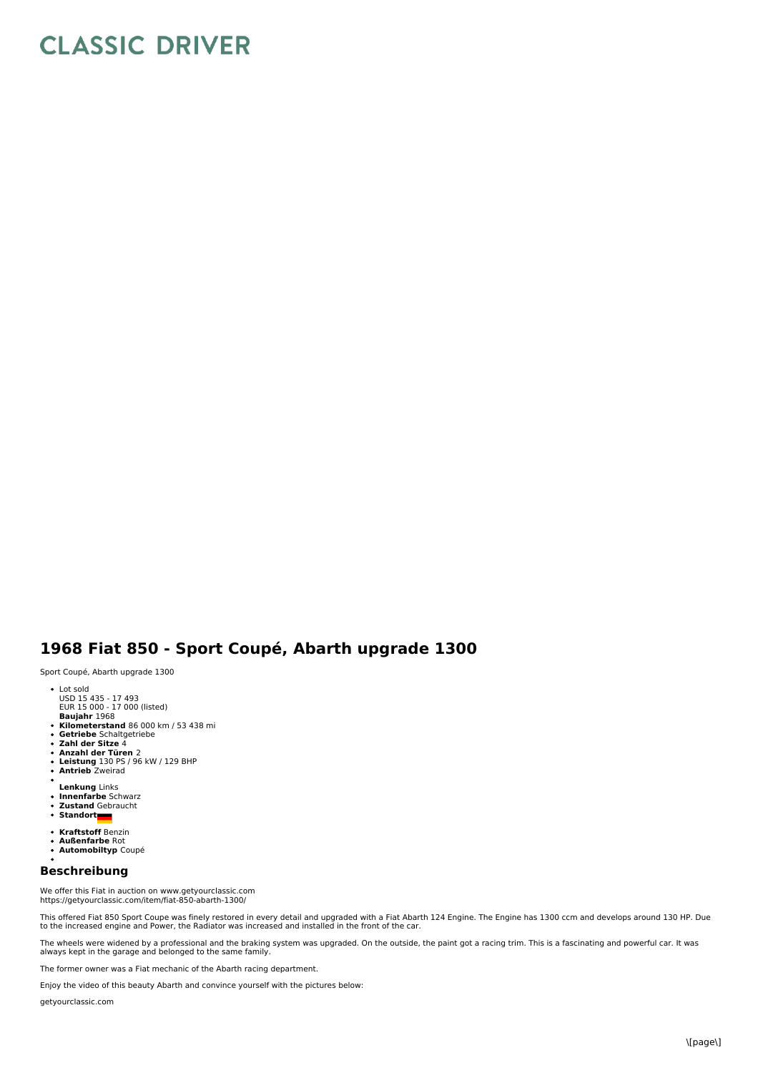## **CLASSIC DRIVER**

## **1968 Fiat 850 - Sport Coupé, Abarth upgrade 1300**

Sport Coupé, Abarth upgrade 1300

- 
- Lot sold USD 15 435 17 493 EUR 15 000 17 000 (listed)
- 
- 
- **Baujahr** 1968<br>**Kilometerstand** 86 000 km / 53 438 mi<br>**Getriebe** Schaltgetriebe<br>Zahl der Sitze 4
- 
- 
- **Anzahl der Türen** 2 **Leistung** 130 PS / 96 kW / 129 BHP
- **Antrieb** Zweirad
- 
- **Lenkung** Links
- **Innenfarbe** Schwarz **Zustand** Gebraucht
- Standort
- **Kraftstoff** Benzin
- **Außenfarbe** Rot  $\bullet$
- **Automobiltyp** Coupé

## **Beschreibung**

We offer this Fiat in auction on www.getyourclassic.com https://getyourclassic.com/item/fiat-850-abarth-1300/

This offered Fiat 850 Sport Coupe was finely restored in every detail and upgraded with a Fiat Abarth 124 Engine. The Engine has 1300 ccm and develops around 130 HP. Due<br>to the increased engine and Power, the Radiator was

The wheels were widened by a professional and the braking system was upgraded. On the outside, the paint got a racing trim. This is a fascinating and powerful car. It was<br>always kept in the garage and belonged to the same

The former owner was a Fiat mechanic of the Abarth racing department.

Enjoy the video of this beauty Abarth and convince yourself with the pictures below:

getyourclassic.com